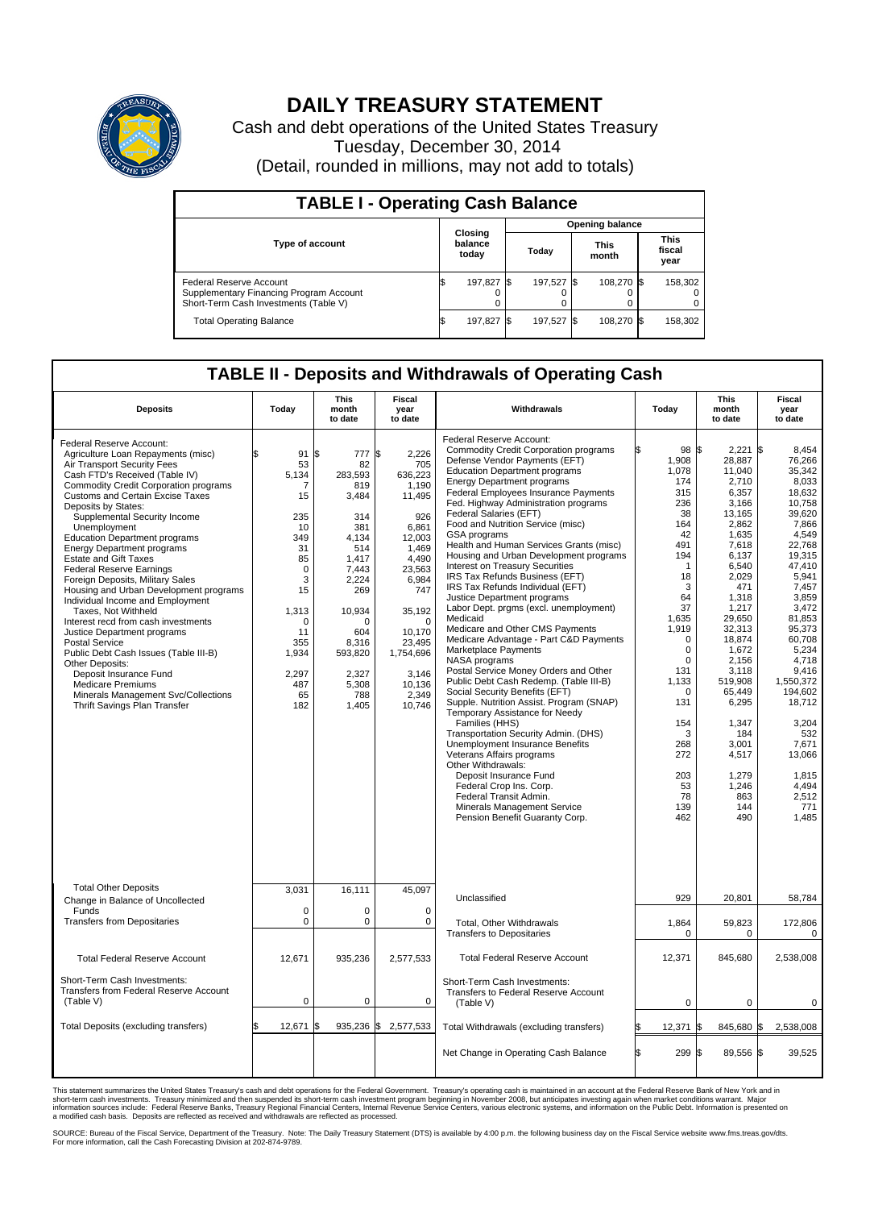

## **DAILY TREASURY STATEMENT**

Cash and debt operations of the United States Treasury Tuesday, December 30, 2014 (Detail, rounded in millions, may not add to totals)

| <b>TABLE I - Operating Cash Balance</b>                                                                     |    |                             |       |            |                      |            |                               |         |  |  |  |
|-------------------------------------------------------------------------------------------------------------|----|-----------------------------|-------|------------|----------------------|------------|-------------------------------|---------|--|--|--|
| <b>Opening balance</b>                                                                                      |    |                             |       |            |                      |            |                               |         |  |  |  |
| Type of account                                                                                             |    | Closing<br>balance<br>today | Today |            | <b>This</b><br>month |            | <b>This</b><br>fiscal<br>year |         |  |  |  |
| Federal Reserve Account<br>Supplementary Financing Program Account<br>Short-Term Cash Investments (Table V) |    | 197,827 \$                  |       | 197.527 \$ |                      | 108.270 \$ |                               | 158,302 |  |  |  |
| <b>Total Operating Balance</b>                                                                              | ß. | 197,827 \$                  |       | 197,527 \$ |                      | 108,270 \$ |                               | 158,302 |  |  |  |

## **TABLE II - Deposits and Withdrawals of Operating Cash**

| <b>Deposits</b>                                                                                                                                                                                                                                                                                                                                                                                                                                                                                                                                                                                                                                                                                                                                                                                                                                                             | Today                                                                                                                                                                   | <b>This</b><br>month<br>to date                                                                                                                                                        | <b>Fiscal</b><br>year<br>to date                                                                                                                                                                                       | Withdrawals                                                                                                                                                                                                                                                                                                                                                                                                                                                                                                                                                                                                                                                                                                                                                                                                                                                                                                                                                                                                                                                                                                                                                                                                                                                       | Today                                                                                                                                                                                                                                                                  | <b>This</b><br>month<br>to date                                                                                                                                                                                                                                                                               | <b>Fiscal</b><br>year<br>to date                                                                                                                                                                                                                                                                                                     |
|-----------------------------------------------------------------------------------------------------------------------------------------------------------------------------------------------------------------------------------------------------------------------------------------------------------------------------------------------------------------------------------------------------------------------------------------------------------------------------------------------------------------------------------------------------------------------------------------------------------------------------------------------------------------------------------------------------------------------------------------------------------------------------------------------------------------------------------------------------------------------------|-------------------------------------------------------------------------------------------------------------------------------------------------------------------------|----------------------------------------------------------------------------------------------------------------------------------------------------------------------------------------|------------------------------------------------------------------------------------------------------------------------------------------------------------------------------------------------------------------------|-------------------------------------------------------------------------------------------------------------------------------------------------------------------------------------------------------------------------------------------------------------------------------------------------------------------------------------------------------------------------------------------------------------------------------------------------------------------------------------------------------------------------------------------------------------------------------------------------------------------------------------------------------------------------------------------------------------------------------------------------------------------------------------------------------------------------------------------------------------------------------------------------------------------------------------------------------------------------------------------------------------------------------------------------------------------------------------------------------------------------------------------------------------------------------------------------------------------------------------------------------------------|------------------------------------------------------------------------------------------------------------------------------------------------------------------------------------------------------------------------------------------------------------------------|---------------------------------------------------------------------------------------------------------------------------------------------------------------------------------------------------------------------------------------------------------------------------------------------------------------|--------------------------------------------------------------------------------------------------------------------------------------------------------------------------------------------------------------------------------------------------------------------------------------------------------------------------------------|
| Federal Reserve Account:<br>Agriculture Loan Repayments (misc)<br>Air Transport Security Fees<br>Cash FTD's Received (Table IV)<br><b>Commodity Credit Corporation programs</b><br><b>Customs and Certain Excise Taxes</b><br>Deposits by States:<br>Supplemental Security Income<br>Unemployment<br><b>Education Department programs</b><br><b>Energy Department programs</b><br><b>Estate and Gift Taxes</b><br><b>Federal Reserve Earnings</b><br>Foreign Deposits, Military Sales<br>Housing and Urban Development programs<br>Individual Income and Employment<br>Taxes. Not Withheld<br>Interest recd from cash investments<br>Justice Department programs<br>Postal Service<br>Public Debt Cash Issues (Table III-B)<br>Other Deposits:<br>Deposit Insurance Fund<br><b>Medicare Premiums</b><br>Minerals Management Svc/Collections<br>Thrift Savings Plan Transfer | 91<br>\$<br>53<br>5.134<br>7<br>15<br>235<br>10<br>349<br>31<br>85<br>$\mathbf 0$<br>3<br>15<br>1,313<br>$\mathbf 0$<br>11<br>355<br>1,934<br>2,297<br>487<br>65<br>182 | \$<br>777<br>82<br>283.593<br>819<br>3,484<br>314<br>381<br>4.134<br>514<br>1.417<br>7,443<br>2,224<br>269<br>10,934<br>O<br>604<br>8,316<br>593,820<br>2,327<br>5,308<br>788<br>1,405 | \$<br>2,226<br>705<br>636,223<br>1,190<br>11,495<br>926<br>6,861<br>12,003<br>1.469<br>4,490<br>23,563<br>6,984<br>747<br>35,192<br>$\mathbf 0$<br>10.170<br>23,495<br>1,754,696<br>3,146<br>10,136<br>2,349<br>10,746 | Federal Reserve Account:<br><b>Commodity Credit Corporation programs</b><br>Defense Vendor Payments (EFT)<br><b>Education Department programs</b><br><b>Energy Department programs</b><br>Federal Employees Insurance Payments<br>Fed. Highway Administration programs<br>Federal Salaries (EFT)<br>Food and Nutrition Service (misc)<br>GSA programs<br>Health and Human Services Grants (misc)<br>Housing and Urban Development programs<br>Interest on Treasury Securities<br>IRS Tax Refunds Business (EFT)<br>IRS Tax Refunds Individual (EFT)<br>Justice Department programs<br>Labor Dept. prgms (excl. unemployment)<br>Medicaid<br>Medicare and Other CMS Payments<br>Medicare Advantage - Part C&D Payments<br>Marketplace Payments<br>NASA programs<br>Postal Service Money Orders and Other<br>Public Debt Cash Redemp. (Table III-B)<br>Social Security Benefits (EFT)<br>Supple. Nutrition Assist. Program (SNAP)<br>Temporary Assistance for Needy<br>Families (HHS)<br>Transportation Security Admin. (DHS)<br>Unemployment Insurance Benefits<br>Veterans Affairs programs<br>Other Withdrawals:<br>Deposit Insurance Fund<br>Federal Crop Ins. Corp.<br>Federal Transit Admin.<br>Minerals Management Service<br>Pension Benefit Guaranty Corp. | 98 \$<br>1,908<br>1,078<br>174<br>315<br>236<br>38<br>164<br>42<br>491<br>194<br>1<br>18<br>3<br>64<br>37<br>1,635<br>1,919<br>$\mathbf 0$<br>$\mathbf 0$<br>$\Omega$<br>131<br>1,133<br>$\mathbf 0$<br>131<br>154<br>3<br>268<br>272<br>203<br>53<br>78<br>139<br>462 | 2,221<br>28,887<br>11,040<br>2,710<br>6,357<br>3,166<br>13,165<br>2.862<br>1,635<br>7,618<br>6,137<br>6,540<br>2,029<br>471<br>1,318<br>1,217<br>29.650<br>32,313<br>18,874<br>1,672<br>2.156<br>3,118<br>519,908<br>65,449<br>6,295<br>1,347<br>184<br>3,001<br>4,517<br>1,279<br>1,246<br>863<br>144<br>490 | l\$<br>8.454<br>76,266<br>35,342<br>8,033<br>18,632<br>10,758<br>39,620<br>7.866<br>4,549<br>22,768<br>19.315<br>47,410<br>5,941<br>7,457<br>3,859<br>3,472<br>81.853<br>95,373<br>60,708<br>5,234<br>4.718<br>9,416<br>1.550.372<br>194,602<br>18,712<br>3,204<br>532<br>7,671<br>13,066<br>1,815<br>4,494<br>2,512<br>771<br>1,485 |
| <b>Total Other Deposits</b><br>Change in Balance of Uncollected                                                                                                                                                                                                                                                                                                                                                                                                                                                                                                                                                                                                                                                                                                                                                                                                             | 3,031                                                                                                                                                                   | 16,111                                                                                                                                                                                 | 45,097                                                                                                                                                                                                                 | Unclassified                                                                                                                                                                                                                                                                                                                                                                                                                                                                                                                                                                                                                                                                                                                                                                                                                                                                                                                                                                                                                                                                                                                                                                                                                                                      | 929                                                                                                                                                                                                                                                                    | 20,801                                                                                                                                                                                                                                                                                                        | 58,784                                                                                                                                                                                                                                                                                                                               |
| Funds<br><b>Transfers from Depositaries</b>                                                                                                                                                                                                                                                                                                                                                                                                                                                                                                                                                                                                                                                                                                                                                                                                                                 | $\mathbf 0$<br>$\pmb{0}$                                                                                                                                                | 0<br>0                                                                                                                                                                                 | 0<br>$\mathbf 0$                                                                                                                                                                                                       | Total, Other Withdrawals<br><b>Transfers to Depositaries</b>                                                                                                                                                                                                                                                                                                                                                                                                                                                                                                                                                                                                                                                                                                                                                                                                                                                                                                                                                                                                                                                                                                                                                                                                      | 1,864<br>$\mathbf 0$                                                                                                                                                                                                                                                   | 59,823<br>$\mathbf 0$                                                                                                                                                                                                                                                                                         | 172,806<br>0                                                                                                                                                                                                                                                                                                                         |
| <b>Total Federal Reserve Account</b>                                                                                                                                                                                                                                                                                                                                                                                                                                                                                                                                                                                                                                                                                                                                                                                                                                        | 12.671                                                                                                                                                                  | 935,236                                                                                                                                                                                | 2,577,533                                                                                                                                                                                                              | <b>Total Federal Reserve Account</b>                                                                                                                                                                                                                                                                                                                                                                                                                                                                                                                                                                                                                                                                                                                                                                                                                                                                                                                                                                                                                                                                                                                                                                                                                              | 12,371                                                                                                                                                                                                                                                                 | 845,680                                                                                                                                                                                                                                                                                                       | 2,538,008                                                                                                                                                                                                                                                                                                                            |
| Short-Term Cash Investments:<br><b>Transfers from Federal Reserve Account</b><br>(Table V)                                                                                                                                                                                                                                                                                                                                                                                                                                                                                                                                                                                                                                                                                                                                                                                  | $\pmb{0}$                                                                                                                                                               | 0                                                                                                                                                                                      | 0                                                                                                                                                                                                                      | Short-Term Cash Investments:<br>Transfers to Federal Reserve Account<br>(Table V)                                                                                                                                                                                                                                                                                                                                                                                                                                                                                                                                                                                                                                                                                                                                                                                                                                                                                                                                                                                                                                                                                                                                                                                 | 0                                                                                                                                                                                                                                                                      | 0                                                                                                                                                                                                                                                                                                             | 0                                                                                                                                                                                                                                                                                                                                    |
| Total Deposits (excluding transfers)                                                                                                                                                                                                                                                                                                                                                                                                                                                                                                                                                                                                                                                                                                                                                                                                                                        | 12,671                                                                                                                                                                  | 935,236 \$                                                                                                                                                                             | 2,577,533                                                                                                                                                                                                              | Total Withdrawals (excluding transfers)                                                                                                                                                                                                                                                                                                                                                                                                                                                                                                                                                                                                                                                                                                                                                                                                                                                                                                                                                                                                                                                                                                                                                                                                                           | 12,371                                                                                                                                                                                                                                                                 | 845,680 \$<br>1\$                                                                                                                                                                                                                                                                                             | 2,538,008                                                                                                                                                                                                                                                                                                                            |
|                                                                                                                                                                                                                                                                                                                                                                                                                                                                                                                                                                                                                                                                                                                                                                                                                                                                             |                                                                                                                                                                         |                                                                                                                                                                                        |                                                                                                                                                                                                                        | Net Change in Operating Cash Balance                                                                                                                                                                                                                                                                                                                                                                                                                                                                                                                                                                                                                                                                                                                                                                                                                                                                                                                                                                                                                                                                                                                                                                                                                              | l\$<br>299 \$                                                                                                                                                                                                                                                          | 89,556 \$                                                                                                                                                                                                                                                                                                     | 39,525                                                                                                                                                                                                                                                                                                                               |

This statement summarizes the United States Treasury's cash and debt operations for the Federal Government. Treasury's operating cash is maintained in an account at the Federal Reserve Bank of New York and in<br>short-term ca

SOURCE: Bureau of the Fiscal Service, Department of the Treasury. Note: The Daily Treasury Statement (DTS) is available by 4:00 p.m. the following business day on the Fiscal Service website www.fms.treas.gov/dts.<br>For more